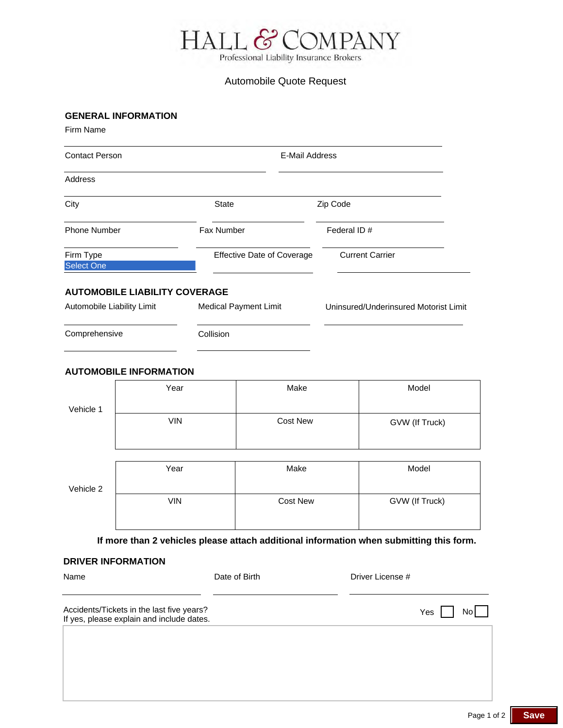

# Automobile Quote Request

### **GENERAL INFORMATION**

Firm Name

| <b>Contact Person</b>                                              |                                   | E-Mail Address                        |  |  |
|--------------------------------------------------------------------|-----------------------------------|---------------------------------------|--|--|
| Address                                                            |                                   |                                       |  |  |
| City                                                               | <b>State</b>                      | Zip Code                              |  |  |
| <b>Phone Number</b>                                                | Fax Number                        | Federal ID #                          |  |  |
| Firm Type<br><b>Select One</b>                                     | <b>Effective Date of Coverage</b> | <b>Current Carrier</b>                |  |  |
| <b>AUTOMOBILE LIABILITY COVERAGE</b><br>Automobile Liability Limit | <b>Medical Payment Limit</b>      | Uninsured/Underinsured Motorist Limit |  |  |

# Comprehensive Collision

#### **AUTOMOBILE INFORMATION**

| Vehicle 1 | Year       | Make            | Model          |
|-----------|------------|-----------------|----------------|
|           | <b>VIN</b> | <b>Cost New</b> | GVW (If Truck) |
|           |            |                 |                |
| Vehicle 2 | Year       | Make            | Model          |
|           | <b>VIN</b> | <b>Cost New</b> | GVW (If Truck) |

**If more than 2 vehicles please attach additional information when submitting this form.**

#### **DRIVER INFORMATION**

| Name                                                                                   | Date of Birth | Driver License # |       |      |
|----------------------------------------------------------------------------------------|---------------|------------------|-------|------|
| Accidents/Tickets in the last five years?<br>If yes, please explain and include dates. |               |                  | Yes I | No l |
|                                                                                        |               |                  |       |      |